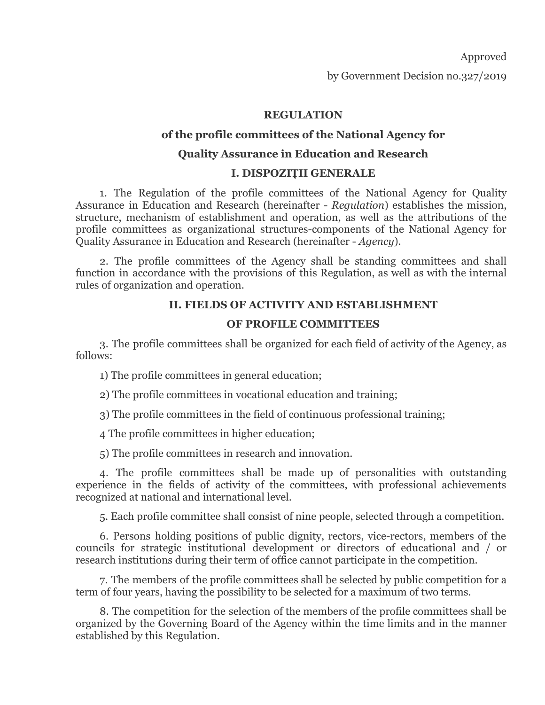Approved

by Government Decision no.327/2019

# **REGULATION**

## **of the profile committees of the National Agency for**

## **Quality Assurance in Education and Research**

## **I. DISPOZIȚII GENERALE**

1. The Regulation of the profile committees of the National Agency for Quality Assurance in Education and Research (hereinafter - *Regulation*) establishes the mission, structure, mechanism of establishment and operation, as well as the attributions of the profile committees as organizational structures-components of the National Agency for Quality Assurance in Education and Research (hereinafter - *Agency*).

2. The profile committees of the Agency shall be standing committees and shall function in accordance with the provisions of this Regulation, as well as with the internal rules of organization and operation.

## **II. FIELDS OF ACTIVITY AND ESTABLISHMENT**

#### **OF PROFILE COMMITTEES**

3. The profile committees shall be organized for each field of activity of the Agency, as follows:

1) The profile committees in general education;

2) The profile committees in vocational education and training;

3) The profile committees in the field of continuous professional training;

4 The profile committees in higher education;

5) The profile committees in research and innovation.

4. The profile committees shall be made up of personalities with outstanding experience in the fields of activity of the committees, with professional achievements recognized at national and international level.

5. Each profile committee shall consist of nine people, selected through a competition.

6. Persons holding positions of public dignity, rectors, vice-rectors, members of the councils for strategic institutional development or directors of educational and / or research institutions during their term of office cannot participate in the competition.

7. The members of the profile committees shall be selected by public competition for a term of four years, having the possibility to be selected for a maximum of two terms.

8. The competition for the selection of the members of the profile committees shall be organized by the Governing Board of the Agency within the time limits and in the manner established by this Regulation.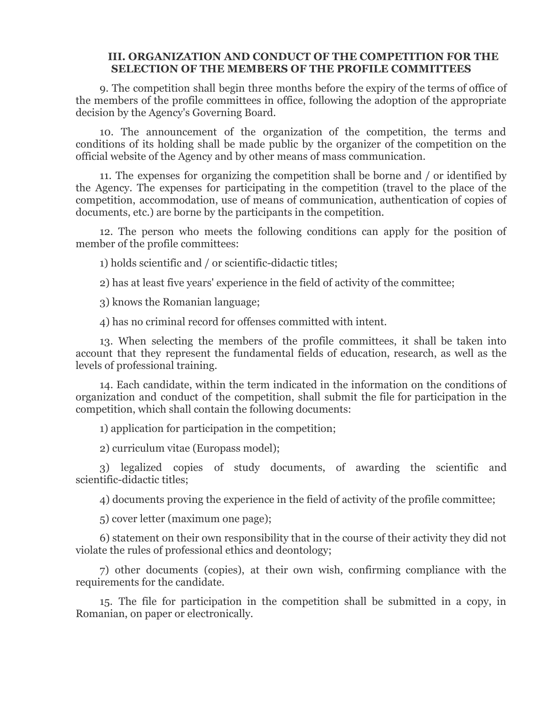#### **III. ORGANIZATION AND CONDUCT OF THE COMPETITION FOR THE SELECTION OF THE MEMBERS OF THE PROFILE COMMITTEES**

9. The competition shall begin three months before the expiry of the terms of office of the members of the profile committees in office, following the adoption of the appropriate decision by the Agency's Governing Board.

10. The announcement of the organization of the competition, the terms and conditions of its holding shall be made public by the organizer of the competition on the official website of the Agency and by other means of mass communication.

11. The expenses for organizing the competition shall be borne and / or identified by the Agency. The expenses for participating in the competition (travel to the place of the competition, accommodation, use of means of communication, authentication of copies of documents, etc.) are borne by the participants in the competition.

12. The person who meets the following conditions can apply for the position of member of the profile committees:

1) holds scientific and / or scientific-didactic titles;

2) has at least five years' experience in the field of activity of the committee;

3) knows the Romanian language;

4) has no criminal record for offenses committed with intent.

13. When selecting the members of the profile committees, it shall be taken into account that they represent the fundamental fields of education, research, as well as the levels of professional training.

14. Each candidate, within the term indicated in the information on the conditions of organization and conduct of the competition, shall submit the file for participation in the competition, which shall contain the following documents:

1) application for participation in the competition;

2) curriculum vitae (Europass model);

3) legalized copies of study documents, of awarding the scientific and scientific-didactic titles;

4) documents proving the experience in the field of activity of the profile committee;

5) cover letter (maximum one page);

6) statement on their own responsibility that in the course of their activity they did not violate the rules of professional ethics and deontology;

7) other documents (copies), at their own wish, confirming compliance with the requirements for the candidate.

15. The file for participation in the competition shall be submitted in a copy, in Romanian, on paper or electronically.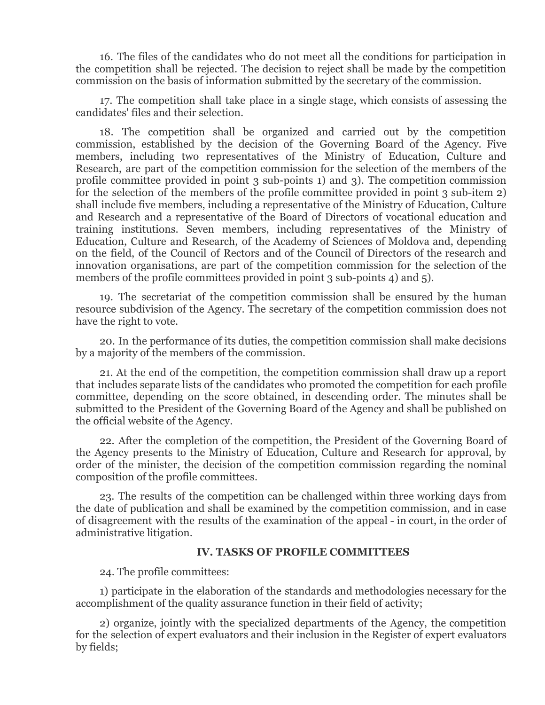16. The files of the candidates who do not meet all the conditions for participation in the competition shall be rejected. The decision to reject shall be made by the competition commission on the basis of information submitted by the secretary of the commission.

17. The competition shall take place in a single stage, which consists of assessing the candidates' files and their selection.

18. The competition shall be organized and carried out by the competition commission, established by the decision of the Governing Board of the Agency. Five members, including two representatives of the Ministry of Education, Culture and Research, are part of the competition commission for the selection of the members of the profile committee provided in point 3 sub-points 1) and 3). The competition commission for the selection of the members of the profile committee provided in point 3 sub-item 2) shall include five members, including a representative of the Ministry of Education, Culture and Research and a representative of the Board of Directors of vocational education and training institutions. Seven members, including representatives of the Ministry of Education, Culture and Research, of the Academy of Sciences of Moldova and, depending on the field, of the Council of Rectors and of the Council of Directors of the research and innovation organisations, are part of the competition commission for the selection of the members of the profile committees provided in point 3 sub-points 4) and 5).

19. The secretariat of the competition commission shall be ensured by the human resource subdivision of the Agency. The secretary of the competition commission does not have the right to vote.

20. In the performance of its duties, the competition commission shall make decisions by a majority of the members of the commission.

21. At the end of the competition, the competition commission shall draw up a report that includes separate lists of the candidates who promoted the competition for each profile committee, depending on the score obtained, in descending order. The minutes shall be submitted to the President of the Governing Board of the Agency and shall be published on the official website of the Agency.

22. After the completion of the competition, the President of the Governing Board of the Agency presents to the Ministry of Education, Culture and Research for approval, by order of the minister, the decision of the competition commission regarding the nominal composition of the profile committees.

23. The results of the competition can be challenged within three working days from the date of publication and shall be examined by the competition commission, and in case of disagreement with the results of the examination of the appeal - in court, in the order of administrative litigation.

#### **IV. TASKS OF PROFILE COMMITTEES**

24. The profile committees:

1) participate in the elaboration of the standards and methodologies necessary for the accomplishment of the quality assurance function in their field of activity;

2) organize, jointly with the specialized departments of the Agency, the competition for the selection of expert evaluators and their inclusion in the Register of expert evaluators by fields;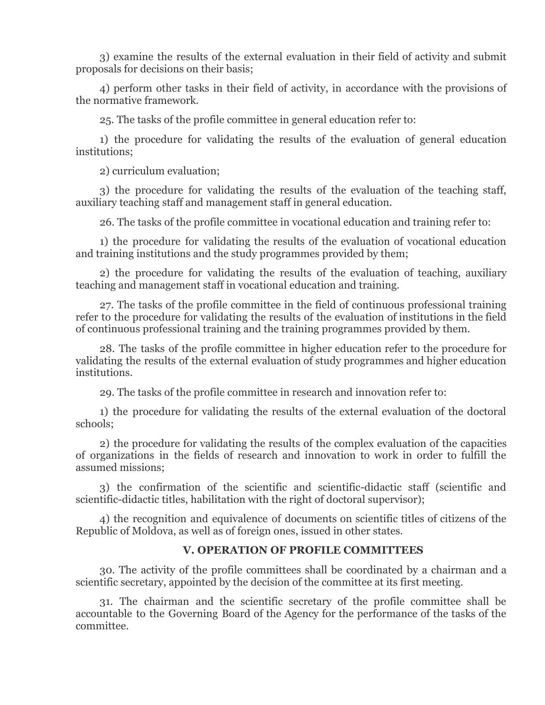3) examine the results of the external evaluation in their field of activity and submit proposals for decisions on their basis;

4) perform other tasks in their field of activity, in accordance with the provisions of the normative framework.

25. The tasks of the profile committee in general education refer to:

1) the procedure for validating the results of the evaluation of general education institutions;

2) curriculum evaluation;

3) the procedure for validating the results of the evaluation of the teaching staff, auxiliary teaching staff and management staff in general education.

26. The tasks of the profile committee in vocational education and training refer to:

1) the procedure for validating the results of the evaluation of vocational education and training institutions and the study programmes provided by them;

2) the procedure for validating the results of the evaluation of teaching, auxiliary teaching and management staff in vocational education and training.

27. The tasks of the profile committee in the field of continuous professional training refer to the procedure for validating the results of the evaluation of institutions in the field of continuous professional training and the training programmes provided by them.

28. The tasks of the profile committee in higher education refer to the procedure for validating the results of the external evaluation of study programmes and higher education institutions.

29. The tasks of the profile committee in research and innovation refer to:

1) the procedure for validating the results of the external evaluation of the doctoral schools;

2) the procedure for validating the results of the complex evaluation of the capacities of organizations in the fields of research and innovation to work in order to fulfill the assumed missions;

3) the confirmation of the scientific and scientific-didactic staff (scientific and scientific-didactic titles, habilitation with the right of doctoral supervisor);

4) the recognition and equivalence of documents on scientific titles of citizens of the Republic of Moldova, as well as of foreign ones, issued in other states.

# **V. OPERATION OF PROFILE COMMITTEES**

30. The activity of the profile committees shall be coordinated by a chairman and a scientific secretary, appointed by the decision of the committee at its first meeting.

31. The chairman and the scientific secretary of the profile committee shall be accountable to the Governing Board of the Agency for the performance of the tasks of the committee.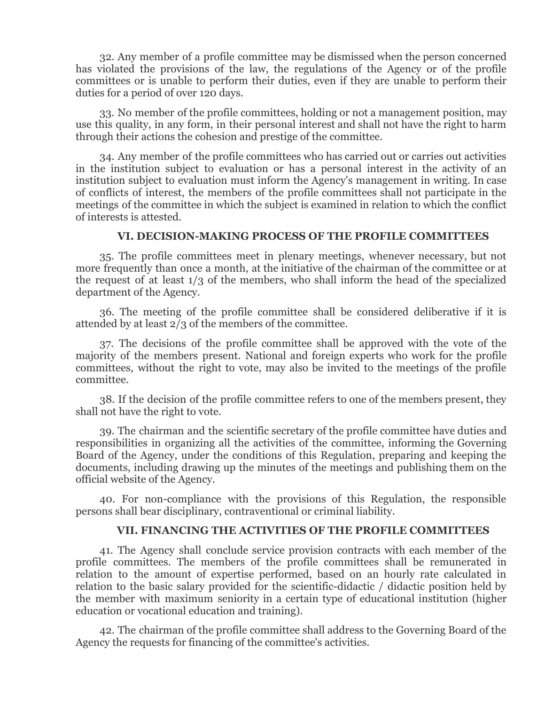32. Any member of a profile committee may be dismissed when the person concerned has violated the provisions of the law, the regulations of the Agency or of the profile committees or is unable to perform their duties, even if they are unable to perform their duties for a period of over 120 days.

33. No member of the profile committees, holding or not a management position, may use this quality, in any form, in their personal interest and shall not have the right to harm through their actions the cohesion and prestige of the committee.

34. Any member of the profile committees who has carried out or carries out activities in the institution subject to evaluation or has a personal interest in the activity of an institution subject to evaluation must inform the Agency's management in writing. In case of conflicts of interest, the members of the profile committees shall not participate in the meetings of the committee in which the subject is examined in relation to which the conflict of interests is attested.

## **VI. DECISION-MAKING PROCESS OF THE PROFILE COMMITTEES**

35. The profile committees meet in plenary meetings, whenever necessary, but not more frequently than once a month, at the initiative of the chairman of the committee or at the request of at least 1/3 of the members, who shall inform the head of the specialized department of the Agency.

36. The meeting of the profile committee shall be considered deliberative if it is attended by at least 2/3 of the members of the committee.

37. The decisions of the profile committee shall be approved with the vote of the majority of the members present. National and foreign experts who work for the profile committees, without the right to vote, may also be invited to the meetings of the profile committee.

38. If the decision of the profile committee refers to one of the members present, they shall not have the right to vote.

39. The chairman and the scientific secretary of the profile committee have duties and responsibilities in organizing all the activities of the committee, informing the Governing Board of the Agency, under the conditions of this Regulation, preparing and keeping the documents, including drawing up the minutes of the meetings and publishing them on the official website of the Agency.

40. For non-compliance with the provisions of this Regulation, the responsible persons shall bear disciplinary, contraventional or criminal liability.

#### **VII. FINANCING THE ACTIVITIES OF THE PROFILE COMMITTEES**

41. The Agency shall conclude service provision contracts with each member of the profile committees. The members of the profile committees shall be remunerated in relation to the amount of expertise performed, based on an hourly rate calculated in relation to the basic salary provided for the scientific-didactic / didactic position held by the member with maximum seniority in a certain type of educational institution (higher education or vocational education and training).

42. The chairman of the profile committee shall address to the Governing Board of the Agency the requests for financing of the committee's activities.